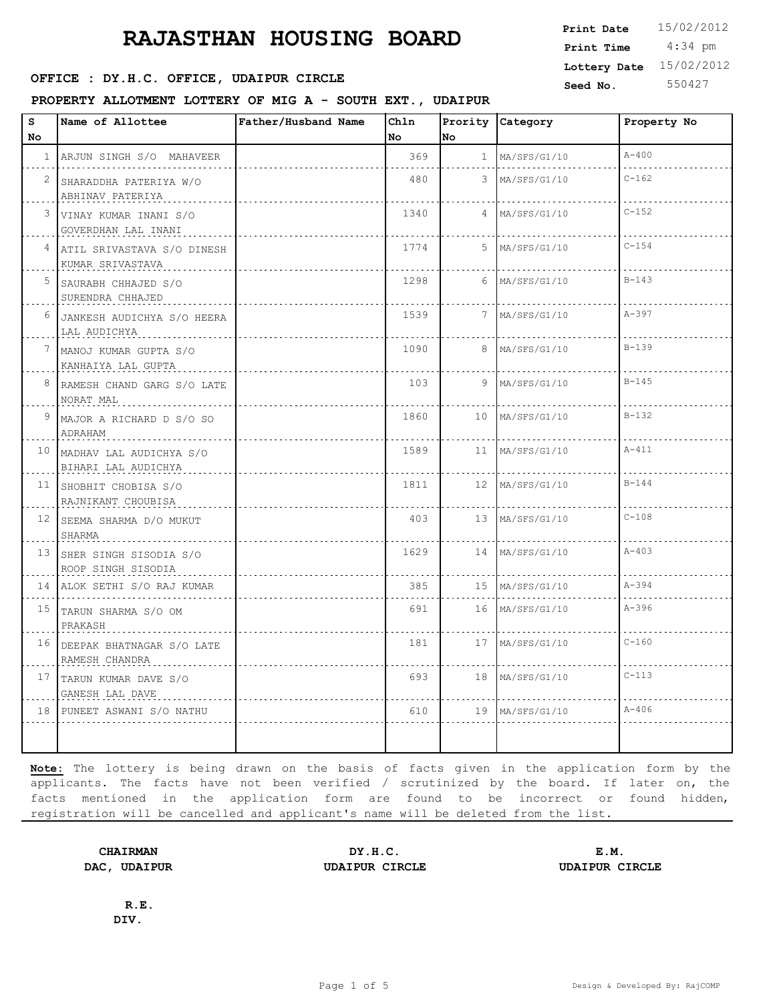#### **SEED : DY.H.C. OFFICE, UDAIPUR CIRCLE CONSUMING Seed No.** 550427

**PROPERTY ALLOTMENT LOTTERY OF MIG A - SOUTH EXT., UDAIPUR**

 4:34 pm **Print Date**  $15/02/2012$ **Print Time Lottery Date** 15/02/2012

| s  | Name of Allottee                                  | Father/Husband Name | Chln |                  | Prority Category  | Property No |
|----|---------------------------------------------------|---------------------|------|------------------|-------------------|-------------|
| No |                                                   |                     | No   | No               |                   |             |
|    | 1 ARJUN SINGH S/O MAHAVEER                        |                     | 369  |                  | 1 MA/SFS/G1/10    | $A - 400$   |
| 2  | SHARADDHA PATERIYA W/O<br>ABHINAV PATERIYA        |                     | 480  | 3                | MA/SFS/G1/10      | $C - 162$   |
|    | 3 VINAY KUMAR INANI S/O<br>GOVERDHAN LAL INANI    |                     | 1340 | $4 -$            | MA/SFS/G1/10      | $C - 152$   |
|    | 4 ATIL SRIVASTAVA S/O DINESH<br>KUMAR SRIVASTAVA  |                     | 1774 | 5                | MA/SFS/G1/10      | $C - 154$   |
| 5  | SAURABH CHHAJED S/O<br>SURENDRA CHHAJED           |                     | 1298 | 6                | MA/SFS/G1/10      | $B - 143$   |
| 6  | JANKESH AUDICHYA S/O HEERA<br>LAL AUDICHYA        |                     | 1539 | 7                | MA/SFS/G1/10      | $A - 397$   |
| 7  | MANOJ KUMAR GUPTA S/O<br>KANHAIYA LAL GUPTA       |                     | 1090 | 8                | MA/SFS/G1/10      | $B - 139$   |
| 8  | RAMESH CHAND GARG S/O LATE<br>NORAT MAL           |                     | 103  | 9                | MA/SFS/G1/10      | $B - 145$   |
| 9  | MAJOR A RICHARD D S/O SO<br>ADRAHAM               |                     | 1860 |                  | 10 MA/SFS/G1/10   | $B-132$     |
|    | 10 MADHAV LAL AUDICHYA S/O<br>BIHARI LAL AUDICHYA |                     | 1589 |                  | 11   MA/SFS/G1/10 | $A - 411$   |
|    | 11 SHOBHIT CHOBISA S/O<br>RAJNIKANT CHOUBISA      |                     | 1811 | 12 <sup>12</sup> | MA/SFS/G1/10      | $B - 144$   |
|    | 12 SEEMA SHARMA D/O MUKUT<br>SHARMA               |                     | 403  |                  | 13 MA/SFS/G1/10   | $C - 108$   |
|    | 13 SHER SINGH SISODIA S/O<br>ROOP SINGH SISODIA   |                     | 1629 | 14               | MA/SFS/G1/10      | $A - 403$   |
|    | 14 ALOK SETHI S/O RAJ KUMAR                       |                     | 385  |                  | 15 MA/SFS/G1/10   | $A - 394$   |
|    | 15 TARUN SHARMA S/O OM<br>PRAKASH                 |                     | 691  | 16               | MA/SFS/G1/10      | $A - 396$   |
|    | 16 DEEPAK BHATNAGAR S/O LATE<br>RAMESH CHANDRA    |                     | 181  | 17               | MA/SFS/G1/10      | $C - 160$   |
| 17 | TARUN KUMAR DAVE S/O<br>GANESH LAL DAVE           |                     | 693  | 18               | MA/SFS/G1/10      | $C-113$     |
|    | 18 PUNEET ASWANI S/O NATHU                        |                     | 610  |                  | 19 MA/SFS/G1/10   | $A - 406$   |
|    |                                                   |                     |      |                  |                   |             |

**Note:** The lottery is being drawn on the basis of facts given in the application form by the applicants. The facts have not been verified / scrutinized by the board. If later on, the facts mentioned in the application form are found to be incorrect or found hidden, registration will be cancelled and applicant's name will be deleted from the list.

**CHAIRMAN DY.H.C. E.M. DAC, UDAIPUR UDAIPUR CIRCLE UDAIPUR CIRCLE**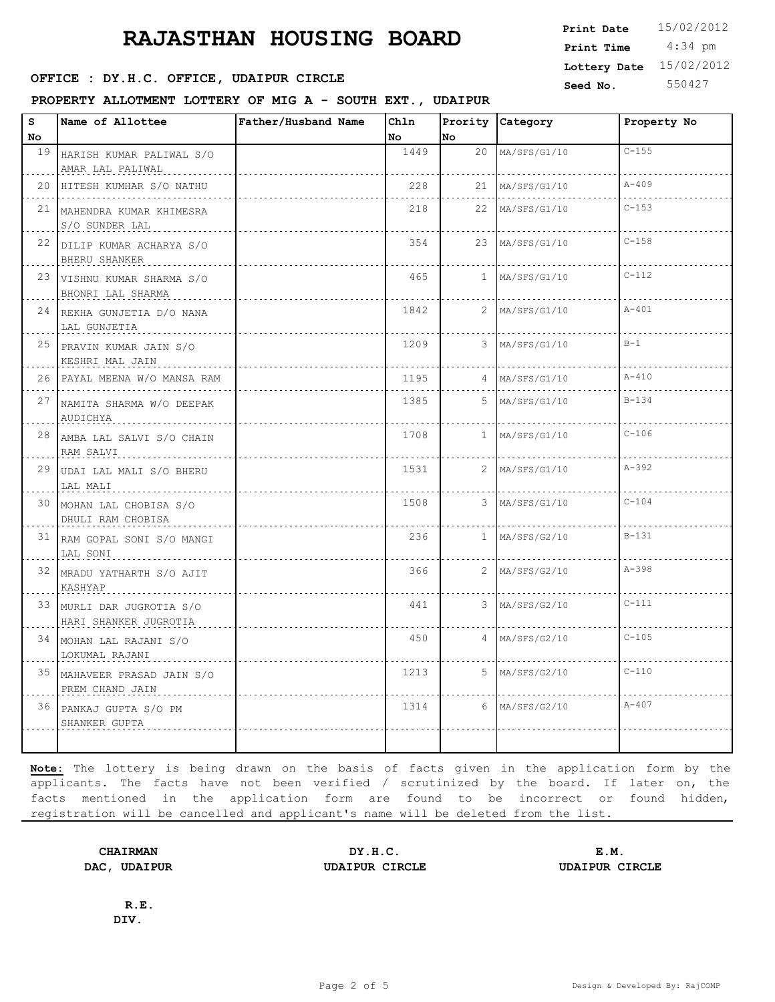# **RAJASTHAN HOUSING BOARD Example 15/02/2012**

#### **SEED OFFICE : DY.H.C. OFFICE, UDAIPUR CIRCLE** Seed No. 550427

**PROPERTY ALLOTMENT LOTTERY OF MIG A - SOUTH EXT., UDAIPUR**

| Print Date   | 15/02/2012 |
|--------------|------------|
| Print Time   | $4:34$ pm  |
| Lottery Date | 15/02/2012 |

| s               | Name of Allottee                                   | Father/Husband Name | Ch1n |    | Prority Category | Property No |
|-----------------|----------------------------------------------------|---------------------|------|----|------------------|-------------|
| No              |                                                    |                     | No   | No |                  |             |
|                 | 19 HARISH KUMAR PALIWAL S/O                        |                     | 1449 |    | 20 MA/SFS/G1/10  | $C - 1.5.5$ |
|                 | AMAR LAL PALIWAL                                   |                     |      |    |                  |             |
|                 | 20 HITESH KUMHAR S/O NATHU                         |                     | 228  |    | 21 MA/SFS/G1/10  | $A - 409$   |
|                 | 21 MAHENDRA KUMAR KHIMESRA<br>S/O SUNDER LAL       |                     | 218  |    | 22 MA/SFS/G1/10  | $C - 153$   |
|                 | 22 DILIP KUMAR ACHARYA S/O<br>BHERU SHANKER        |                     | 354  |    | 23 MA/SFS/G1/10  | $C - 158$   |
|                 | 23 VISHNU KUMAR SHARMA S/O<br>BHONRI LAL SHARMA    |                     | 465  |    | $1$ MA/SFS/G1/10 | $C - 112$   |
|                 | 24 REKHA GUNJETIA D/O NANA<br>LAL GUNJETIA         |                     | 1842 |    | $2$ MA/SFS/G1/10 | $A - 401$   |
|                 | 25 PRAVIN KUMAR JAIN S/O<br>KESHRI MAL JAIN        |                     | 1209 |    | 3 MA/SFS/G1/10   | $B-1$       |
|                 | 26 PAYAL MEENA W/O MANSA RAM                       |                     | 1195 |    | $4$ MA/SFS/G1/10 | $A - 410$   |
|                 | 27 NAMITA SHARMA W/O DEEPAK<br>AUDICHYA            |                     | 1385 |    | $5$ MA/SFS/G1/10 | $B - 134$   |
|                 | 28 AMBA LAL SALVI S/O CHAIN<br>RAM SALVI           |                     | 1708 |    | $1$ MA/SFS/G1/10 | $C - 106$   |
|                 | 29 JUDAI LAL MALI S/O BHERU<br>LAL MALI            |                     | 1531 |    | $2$ MA/SFS/G1/10 | $A - 392$   |
| 30 <sup>1</sup> | MOHAN LAL CHOBISA S/O<br>DHULI RAM CHOBISA         |                     | 1508 |    | 3 MA/SFS/G1/10   | $C - 104$   |
|                 | 31 RAM GOPAL SONI S/O MANGI<br>LAL SONI            |                     | 236  |    | $1$ MA/SFS/G2/10 | $B-131$     |
|                 | 32 MRADU YATHARTH S/O AJIT<br>KASHYAP              |                     | 366  |    | $2$ MA/SFS/G2/10 | $A - 398$   |
|                 | 33 MURLI DAR JUGROTIA S/O<br>HARI SHANKER JUGROTIA |                     | 441  |    | 3 MA/SFS/G2/10   | $C-111$     |
| 34              | MOHAN LAL RAJANI S/O<br>LOKUMAL RAJANI             |                     | 450  |    | $4$ MA/SFS/G2/10 | $C - 105$   |
|                 | 35 MAHAVEER PRASAD JAIN S/O<br>PREM CHAND JAIN     |                     | 1213 |    | $5$ MA/SFS/G2/10 | $C-110$     |
| 36              | PANKAJ GUPTA S/O PM<br>SHANKER GUPTA               |                     | 1314 |    | $6$ MA/SFS/G2/10 | $A - 407$   |
|                 |                                                    |                     |      |    |                  |             |

**Note:** The lottery is being drawn on the basis of facts given in the application form by the applicants. The facts have not been verified / scrutinized by the board. If later on, the facts mentioned in the application form are found to be incorrect or found hidden, registration will be cancelled and applicant's name will be deleted from the list.

**CHAIRMAN DY.H.C. E.M. DAC, UDAIPUR UDAIPUR CIRCLE UDAIPUR CIRCLE**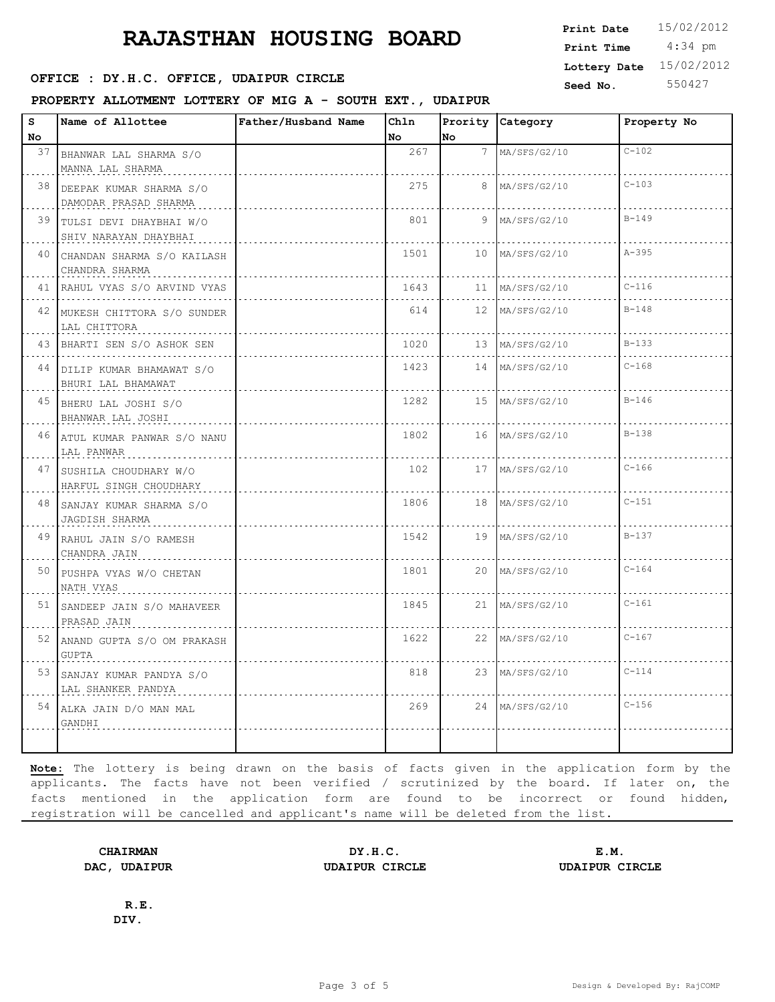#### **SEED OFFICE : DY.H.C. OFFICE, UDAIPUR CIRCLE CONSUMING Seed No.** 550427

#### **PROPERTY ALLOTMENT LOTTERY OF MIG A - SOUTH EXT., UDAIPUR**

 4:34 pm **Print Date**  $15/02/2012$ **Print Time Lottery Date** 15/02/2012

| s    | Name of Allottee                                    | Father/Husband Name | Chln |     | Prority Category  | Property No |
|------|-----------------------------------------------------|---------------------|------|-----|-------------------|-------------|
| No.  |                                                     |                     | No   | lno |                   |             |
|      | 37 BHANWAR LAL SHARMA S/O<br>MANNA LAL SHARMA       |                     | 267  |     | 7 MA/SFS/G2/10    | $C - 102$   |
|      | 38 DEEPAK KUMAR SHARMA S/O<br>DAMODAR PRASAD SHARMA |                     | 275  |     | 8 MA/SFS/G2/10    | $C - 103$   |
|      | 39 TULSI DEVI DHAYBHAI W/O<br>SHIV NARAYAN DHAYBHAI |                     | 801  |     | $9$ MA/SFS/G2/10  | $B - 149$   |
|      | 40 CHANDAN SHARMA S/O KAILASH<br>CHANDRA SHARMA     |                     | 1501 |     | 10 MA/SFS/G2/10   | $A - 395$   |
|      | 41 RAHUL VYAS S/O ARVIND VYAS                       |                     | 1643 |     | 11   MA/SFS/G2/10 | $C - 116$   |
|      | 42 MUKESH CHITTORA S/O SUNDER<br>LAL CHITTORA       |                     | 614  |     | 12 MA/SFS/G2/10   | $B - 148$   |
|      | 43 BHARTI SEN S/O ASHOK SEN                         |                     | 1020 |     | 13 MA/SFS/G2/10   | $B - 133$   |
|      | 44 DILIP KUMAR BHAMAWAT S/O<br>BHURI LAL BHAMAWAT   |                     | 1423 |     | 14 MA/SFS/G2/10   | $C - 168$   |
|      | 45 BHERU LAL JOSHI S/O<br>BHANWAR LAL JOSHI         |                     | 1282 |     | 15 MA/SFS/G2/10   | $B - 146$   |
|      | 46 ATUL KUMAR PANWAR S/O NANU<br>LAL PANWAR         |                     | 1802 |     | 16 MA/SFS/G2/10   | $B - 138$   |
|      | 47 SUSHILA CHOUDHARY W/O<br>HARFUL SINGH CHOUDHARY  |                     | 102  |     | 17 MA/SFS/G2/10   | $C-166$     |
| 48 I | SANJAY KUMAR SHARMA S/O<br>JAGDISH SHARMA           |                     | 1806 |     | 18 MA/SFS/G2/10   | $C - 151$   |
|      | 49 RAHUL JAIN S/O RAMESH<br>CHANDRA JAIN            |                     | 1542 |     | 19 MA/SFS/G2/10   | $B-137$     |
|      | 50 PUSHPA VYAS W/O CHETAN<br>NATH VYAS              |                     | 1801 |     | 20 MA/SFS/G2/10   | $C - 164$   |
|      | 51 SANDEEP JAIN S/O MAHAVEER<br>PRASAD JAIN         |                     | 1845 |     | 21 MA/SFS/G2/10   | $C-161$     |
|      | 52 ANAND GUPTA S/O OM PRAKASH<br><b>GUPTA</b>       |                     | 1622 |     | 22 MA/SFS/G2/10   | $C - 167$   |
|      | 53 SANJAY KUMAR PANDYA S/O<br>LAL SHANKER PANDYA    |                     | 818  |     | 23 MA/SFS/G2/10   | $C - 114$   |
|      | 54 ALKA JAIN D/O MAN MAL<br>GANDHI                  |                     | 269  |     | 24 MA/SFS/G2/10   | $C-156$     |
|      |                                                     |                     |      |     |                   |             |

**Note:** The lottery is being drawn on the basis of facts given in the application form by the applicants. The facts have not been verified / scrutinized by the board. If later on, the facts mentioned in the application form are found to be incorrect or found hidden, registration will be cancelled and applicant's name will be deleted from the list.

**CHAIRMAN DY.H.C. E.M. DAC, UDAIPUR UDAIPUR CIRCLE UDAIPUR CIRCLE**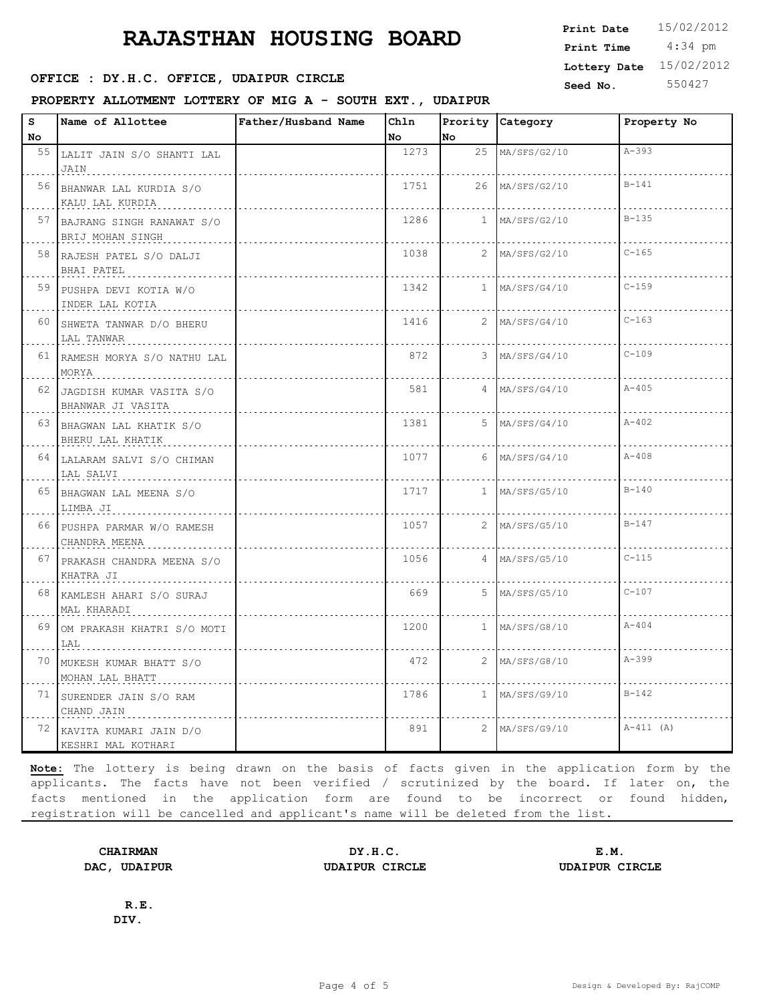## **SEED OFFICE : DY.H.C. OFFICE, UDAIPUR CIRCLE** Seed No. 550427

**PROPERTY ALLOTMENT LOTTERY OF MIG A - SOUTH EXT., UDAIPUR**

 4:34 pm **Print Date**  $15/02/2012$ **Print Time Lottery Date** 15/02/2012

| s  | Name of Allottee                              | Father/Husband Name | Ch1n |    | Prority Category | Property No |
|----|-----------------------------------------------|---------------------|------|----|------------------|-------------|
| No |                                               |                     | No   | No |                  |             |
|    | 55 LALIT JAIN S/O SHANTI LAL                  |                     | 1273 |    | 25 MA/SFS/G2/10  | $A - 393$   |
|    | JAIN                                          |                     |      |    |                  |             |
| 56 | BHANWAR LAL KURDIA S/O                        |                     | 1751 |    | 26 MA/SFS/G2/10  | $B - 141$   |
|    | KALU LAL KURDIA                               |                     |      |    |                  |             |
| 57 | BAJRANG SINGH RANAWAT S/O<br>BRIJ MOHAN SINGH |                     | 1286 |    | $1$ MA/SFS/G2/10 | $B - 135$   |
|    | 58 RAJESH PATEL S/O DALJI<br>BHAI PATEL       |                     | 1038 |    | 2 MA/SFS/G2/10   | $C - 165$   |
|    | 59 PUSHPA DEVI KOTIA W/O<br>INDER LAL KOTIA   |                     | 1342 |    | $1$ MA/SFS/G4/10 | $C - 159$   |
| 60 | SHWETA TANWAR D/O BHERU<br>LAL TANWAR         |                     | 1416 |    | $2$ MA/SFS/G4/10 | $C - 163$   |
|    | 61 RAMESH MORYA S/O NATHU LAL<br>MORYA        |                     | 872  |    | 3 MA/SFS/G4/10   | $C - 109$   |
| 62 | JAGDISH KUMAR VASITA S/O<br>BHANWAR JI VASITA |                     | 581  |    | 4 MA/SFS/G4/10   | $A - 405$   |
|    | 63 BHAGWAN LAL KHATIK S/O<br>BHERU LAL KHATIK |                     | 1381 |    | $5$ MA/SFS/G4/10 | $A - 402$   |
|    | 64 LALARAM SALVI S/O CHIMAN<br>LAL SALVI      |                     | 1077 |    | $6$ MA/SFS/G4/10 | $A - 408$   |
| 65 | BHAGWAN LAL MEENA S/O<br>LIMBA JI             |                     | 1717 |    | $1$ MA/SFS/G5/10 | $B - 140$   |
| 66 | PUSHPA PARMAR W/O RAMESH<br>CHANDRA MEENA     |                     | 1057 |    | 2 MA/SFS/G5/10   | $B - 147$   |
| 67 | PRAKASH CHANDRA MEENA S/O<br>KHATRA JI        |                     | 1056 |    | 4 MA/SFS/G5/10   | $C - 115$   |
| 68 | KAMLESH AHARI S/O SURAJ<br>MAL KHARADI        |                     | 669  |    | $5$ MA/SFS/G5/10 | $C - 107$   |
| 69 | OM PRAKASH KHATRI S/O MOTI<br>LAL             |                     | 1200 |    | $1$ MA/SFS/G8/10 | $A - 404$   |
| 70 | MUKESH KUMAR BHATT S/O<br>MOHAN LAL BHATT     |                     | 472  |    | $2$ MA/SFS/G8/10 | $A - 399$   |
|    | 71 SURENDER JAIN S/O RAM<br>CHAND JAIN        |                     | 1786 |    | $1$ MA/SFS/G9/10 | $B - 142$   |
| 72 | KAVITA KUMARI JAIN D/O<br>KESHRI MAL KOTHARI  |                     | 891  |    | 2 MA/SFS/G9/10   | $A-411 (A)$ |

**Note:** The lottery is being drawn on the basis of facts given in the application form by the applicants. The facts have not been verified / scrutinized by the board. If later on, the facts mentioned in the application form are found to be incorrect or found hidden, registration will be cancelled and applicant's name will be deleted from the list.

**CHAIRMAN DY.H.C. E.M. DAC, UDAIPUR UDAIPUR CIRCLE UDAIPUR CIRCLE**